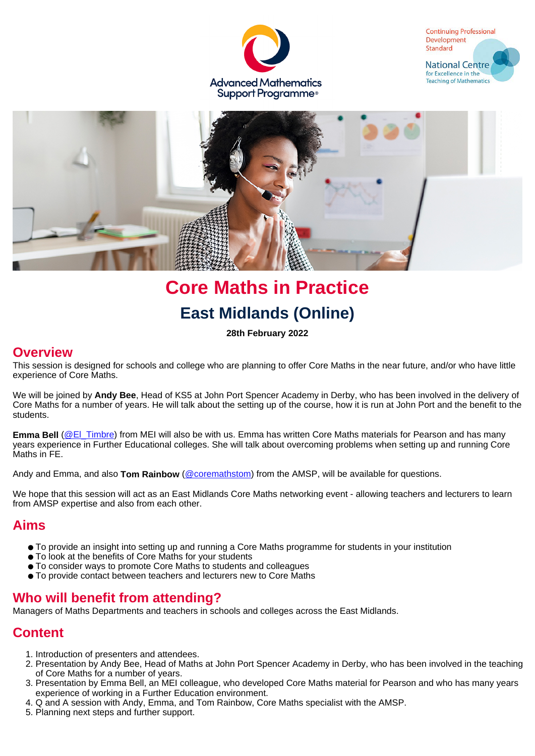





# **Core Maths in Practice East Midlands (Online)**

**28th February 2022**

#### **Overview**

This session is designed for schools and college who are planning to offer Core Maths in the near future, and/or who have little experience of Core Maths.

We will be joined by **Andy Bee**, Head of KS5 at John Port Spencer Academy in Derby, who has been involved in the delivery of Core Maths for a number of years. He will talk about the setting up of the course, how it is run at John Port and the benefit to the students.

**Emma Bell** [\(@El\\_Timbre](https://twitter.com/El_Timbre)) from MEI will also be with us. Emma has written Core Maths materials for Pearson and has many years experience in Further Educational colleges. She will talk about overcoming problems when setting up and running Core Maths in FE.

Andy and Emma, and also **Tom Rainbow** ([@coremathstom](https://twitter.com/CoreMathsTom)) from the AMSP, will be available for questions.

We hope that this session will act as an East Midlands Core Maths networking event - allowing teachers and lecturers to learn from AMSP expertise and also from each other.

#### **Aims**

- To provide an insight into setting up and running a Core Maths programme for students in your institution
- To look at the benefits of Core Maths for your students
- To consider ways to promote Core Maths to students and colleagues
- To provide contact between teachers and lecturers new to Core Maths

#### **Who will benefit from attending?**

Managers of Maths Departments and teachers in schools and colleges across the East Midlands.

#### **Content**

- 1. Introduction of presenters and attendees.
- 2. Presentation by Andy Bee, Head of Maths at John Port Spencer Academy in Derby, who has been involved in the teaching of Core Maths for a number of years.
- 3. Presentation by Emma Bell, an MEI colleague, who developed Core Maths material for Pearson and who has many years experience of working in a Further Education environment.
- 4. Q and A session with Andy, Emma, and Tom Rainbow, Core Maths specialist with the AMSP.
- 5. Planning next steps and further support.